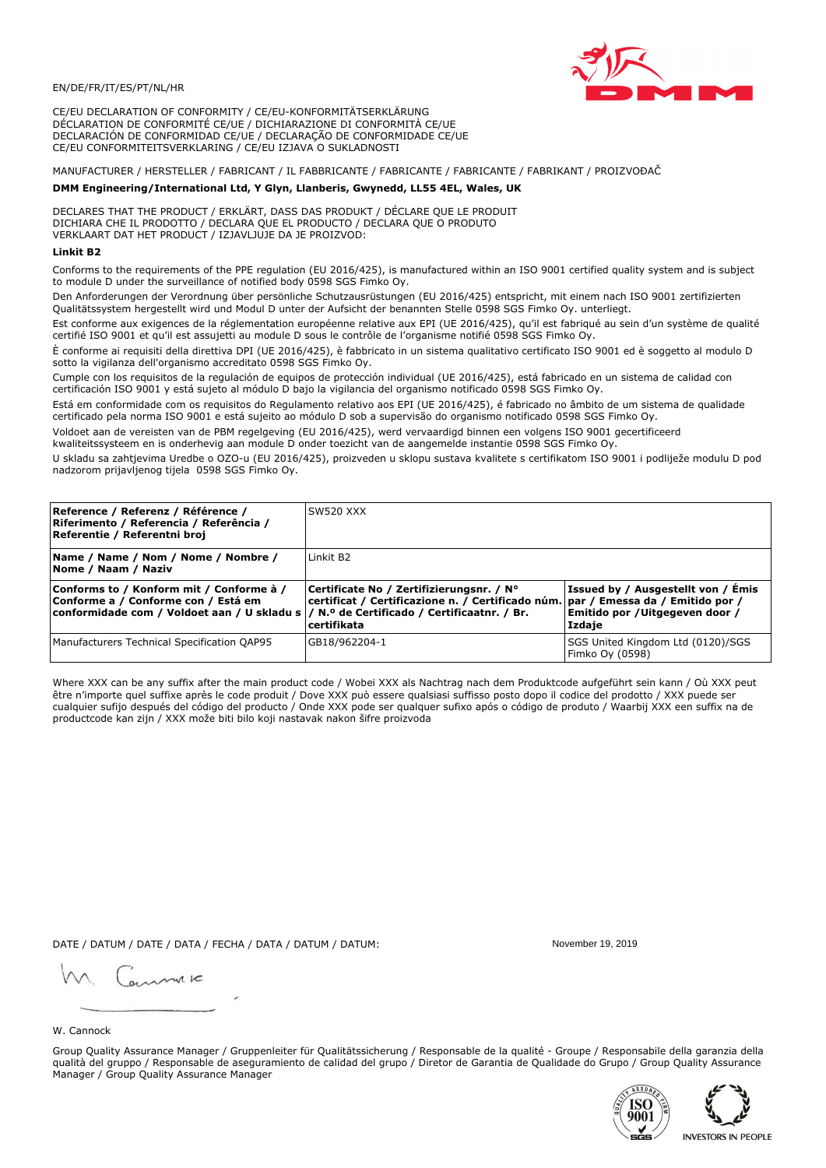

CE/EU DECLARATION OF CONFORMITY / CE/EU-KONFORMITÄTSERKLÄRUNG DÉCLARATION DE CONFORMITÉ CE/UE / DICHIARAZIONE DI CONFORMITÀ CE/UE DECLARACIÓN DE CONFORMIDAD CE/UE / DECLARAÇÃO DE CONFORMIDADE CE/UE CE/EU CONFORMITEITSVERKLARING / CE/EU IZJAVA O SUKLADNOSTI

# MANUFACTURER / HERSTELLER / FABRICANT / IL FABBRICANTE / FABRICANTE / FABRICANTE / FABRIKANT / PROIZVOĐAČ

## DMM Engineering/International Ltd, Y Glyn, Llanberis, Gwynedd, LL55 4EL, Wales, UK

DECLARES THAT THE PRODUCT / ERKLÄRT, DASS DAS PRODUKT / DÉCLARE QUE LE PRODUIT<br>DICHIARA CHE IL PRODOTTO / DECLARA QUE EL PRODUCTO / DECLARA QUE O PRODUTO VERKLAART DAT HET PRODUCT / IZJAVLJUJE DA JE PROIZVOD:

## **Linkit B2**

Conforms to the requirements of the PPE regulation (EU 2016/425), is manufactured within an ISO 9001 certified quality system and is subject to module D under the surveillance of notified body 0598 SGS Fimko Oy.

Den Anforderungen der Verordnung über persönliche Schutzausrüstungen (EU 2016/425) entspricht, mit einem nach ISO 9001 zertifizierten Qualitätssystem hergestellt wird und Modul D unter der Aufsicht der benannten Stelle 0598 SGS Fimko Oy. unterliegt.

Est conforme aux exigences de la réglementation européenne relative aux EPI (UE 2016/425), qu'il est fabriqué au sein d'un système de qualité certifié ISO 9001 et qu'il est assujetti au module D sous le contrôle de l'organisme notifié 0598 SGS Fimko Oy.

È conforme ai requisiti della direttiva DPI (UE 2016/425), è fabbricato in un sistema qualitativo certificato ISO 9001 ed è soggetto al modulo D sotto la vigilanza dell'organismo accreditato 0598 SGS Fimko Oy.

Cumple con los requisitos de la regulación de equipos de protección individual (UE 2016/425), está fabricado en un sistema de calidad con certificación ISO 9001 y está sujeto al módulo D bajo la vigilancia del organismo notificado 0598 SGS Fimko Oy.

Está em conformidade com os requisitos do Regulamento relativo aos EPI (UE 2016/425), é fabricado no âmbito de um sistema de qualidade certificado pela norma ISO 9001 e está sujeito ao módulo D sob a supervisão do organismo notificado 0598 SGS Fimko Oy.

Voldoet aan de vereisten van de PBM regelgeving (EU 2016/425), werd vervaardigd binnen een volgens ISO 9001 gecertificeerd kwaliteitssysteem en is onderhevig aan module D onder toezicht van de aangemelde instantie 0598 SGS Fimko Oy.

U skladu sa zahtjevima Uredbe o OZO-u (EU 2016/425), proizveden u sklopu sustava kvalitete s certifikatom ISO 9001 i podliježe modulu D pod nadzorom prijavljenog tijela 0598 SGS Fimko Oy.

| Reference / Referenz / Référence /<br>Riferimento / Referencia / Referência /<br>Referentie / Referentni broj                                                               | SW520 XXX                                                                                                                                          |                                                                                 |
|-----------------------------------------------------------------------------------------------------------------------------------------------------------------------------|----------------------------------------------------------------------------------------------------------------------------------------------------|---------------------------------------------------------------------------------|
| Name / Name / Nom / Nome / Nombre /<br>Nome / Naam / Naziv                                                                                                                  | Linkit B <sub>2</sub>                                                                                                                              |                                                                                 |
| Conforms to / Konform mit / Conforme à /<br>Conforme a / Conforme con / Está em<br>conformidade com / Voldoet aan / U skladu s  / N.º de Certificado / Certificaatnr. / Br. | Certificate No / Zertifizierungsnr. / N°<br>  certificat / Certificazione n. / Certificado núm.   par / Emessa da / Emitido por /<br>l certifikata | Issued by / Ausgestellt von / Emis<br>Emitido por / Uitgegeven door /<br>Izdaje |
| Manufacturers Technical Specification QAP95                                                                                                                                 | GB18/962204-1                                                                                                                                      | SGS United Kingdom Ltd (0120)/SGS<br>Fimko Oy (0598)                            |

Where XXX can be any suffix after the main product code / Wobei XXX als Nachtrag nach dem Produktcode aufgeführt sein kann / Où XXX peut être n'importe quel suffixe après le code produit / Dove XXX può essere qualsiasi suffisso posto dopo il codice del prodotto / XXX puede ser cualquier sufijo después del código del producto / Onde XXX pode ser qualquer sufixo após o código de produto / Waarbij XXX een suffix na de productcode kan zijn / XXX može biti bilo koji nastavak nakon šifre proizvoda

DATE / DATUM / DATE / DATA / FECHA / DATA / DATUM / DATUM:

gimmic

November 19 2019



Group Quality Assurance Manager / Gruppenleiter für Qualitätssicherung / Responsable de la qualité - Groupe / Responsabile della garanzia della qualità del gruppo / Responsable de aseguramiento de calidad del grupo / Diretor de Garantia de Qualidade do Grupo / Group Quality Assurance Manager / Group Quality Assurance Manager



**INVESTORS IN PEOPLE**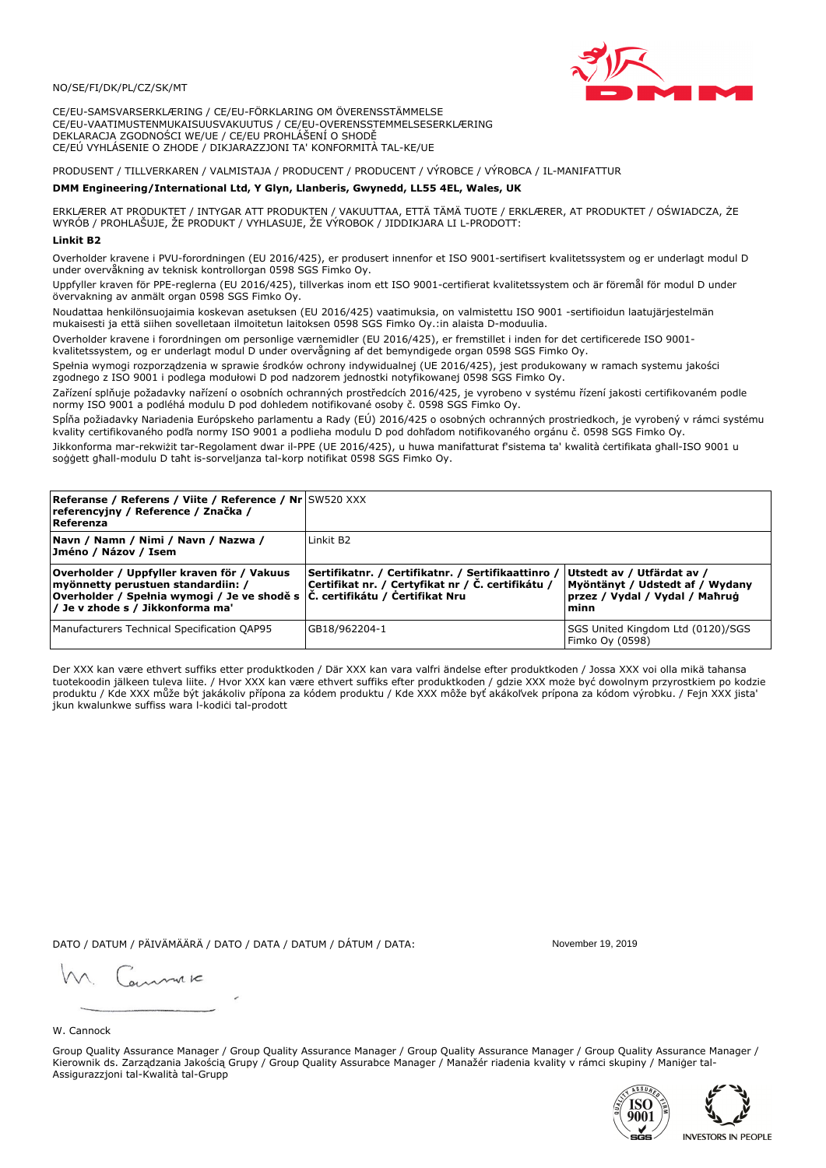## NO/SE/FI/DK/PL/CZ/SK/MT

CE/EU-SAMSVARSERKLÆRING / CE/EU-FÖRKLARING OM ÖVERENSSTÄMMELSE CE/EU-VAATIMUSTENMUKAISUUSVAKUUTUS / CE/EU-OVERENSSTEMMELSESERKLÆRING DEKLARACJA ZGODNOŚCI WE/UE / CE/EU PROHLÁŠENÍ O SHODĚ CE/EÚ VYHLÁSENIE O ZHODE / DIKJARAZZJONI TA' KONFORMITÀ TAL-KE/UE

## PRODUSENT / TILLVERKAREN / VALMISTAJA / PRODUCENT / PRODUCENT / VÝROBCE / VÝROBCA / IL-MANIFATTUR

### DMM Engineering/International Ltd, Y Glyn, Llanberis, Gwynedd, LL55 4EL, Wales, UK

ERKLÆRER AT PRODUKTET / INTYGAR ATT PRODUKTEN / VAKUUTTAA, ETTÄ TÄMÄ TUOTE / ERKLÆRER, AT PRODUKTET / OŚWIADCZA, ŻE<br>WYRÓB / PROHLAŠUJE, ŽE PRODUKT / VYHLASUJE, ŽE VÝROBOK / JIDDIKJARA LI L-PRODOTT:

Overholder kravene i PVU-forordningen (EU 2016/425), er produsert innenfor et ISO 9001-sertifisert kvalitetssystem og er underlagt modul D under overvåkning av teknisk kontrollorgan 0598 SGS Fimko Oy.

Uppfyller kraven för PPE-reglerna (EU 2016/425), tillverkas inom ett ISO 9001-certifierat kvalitetssystem och är föremål för modul D under övervakning av anmält organ 0598 SGS Fimko Oy.

Noudattaa henkilönsuojaimia koskevan asetuksen (EU 2016/425) vaatimuksia, on valmistettu ISO 9001 -sertifioidun laatujärjestelmän mukaisesti ja että siihen sovelletaan ilmoitetun laitoksen 0598 SGS Fimko Oy.:in alaista D-moduulia.

Overholder kravene i forordningen om personlige værnemidler (EU 2016/425), er fremstillet i inden for det certificerede ISO 9001kvalitetssystem, og er underlagt modul D under overvågning af det bemyndigede organ 0598 SGS Fimko Oy.

Spełnia wymogi rozporządzenia w sprawie środków ochrony indywidualnej (UE 2016/425), jest produkowany w ramach systemu jakości zgodnego z ISO 9001 i podlega modułowi D pod nadzorem jednostki notyfikowanej 0598 SGS Fimko Oy.

Zařízení splňuje požadavky nařízení o osobních ochranných prostředcích 2016/425, je vyrobeno v systému řízení jakosti certifikovaném podle normy ISO 9001 a podléhá modulu D pod dohledem notifikované osoby č. 0598 SGS Fimko Oy.

Spĺňa požiadavky Nariadenia Európskeho parlamentu a Rady (EÚ) 2016/425 o osobných ochranných prostriedkoch, je vyrobený v rámci systému kvality certifikovaného podľa normy ISO 9001 a podlieha modulu D pod dohľadom notifikovaného orgánu č. 0598 SGS Fimko Oy.

Jikkonforma mar-rekwiżit tar-Regolament dwar il-PPE (UE 2016/425), u huwa manifatturat f'sistema ta' kwalità certifikata għall-ISO 9001 u soggett għall-modulu D taħt is-sorveljanza tal-korp notifikat 0598 SGS Fimko Oy.

| <b>Referanse / Referens / Viite / Reference / Nr SW520 XXX</b><br>referencyjny / Reference / Značka /<br>Referenza                                                                                                |                                                                                                         |                                                                                                         |
|-------------------------------------------------------------------------------------------------------------------------------------------------------------------------------------------------------------------|---------------------------------------------------------------------------------------------------------|---------------------------------------------------------------------------------------------------------|
| Navn / Namn / Nimi / Navn / Nazwa /<br> Jméno / Názov / Isem                                                                                                                                                      | Linkit B <sub>2</sub>                                                                                   |                                                                                                         |
| Overholder / Uppfyller kraven för / Vakuus<br>myönnetty perustuen standardiin: /<br> Overholder / Spełnia wymogi / Je ve shodě s $ \tilde{C} $ . certifikátu / Čertifikat Nru<br>/ Je v zhode s / Jikkonforma ma' | Sertifikatnr. / Certifikatnr. / Sertifikaattinro /<br>Certifikat nr. / Certyfikat nr / Č. certifikátu / | Utstedt av / Utfärdat av /<br>Myöntänyt / Udstedt af / Wydany<br>przez / Vydal / Vydal / Mahrug<br>minn |
| Manufacturers Technical Specification QAP95                                                                                                                                                                       | GB18/962204-1                                                                                           | SGS United Kingdom Ltd (0120)/SGS<br>Fimko Oy (0598)                                                    |

Der XXX kan være ethvert suffiks etter produktkoden / Där XXX kan vara valfri ändelse efter produktkoden / Jossa XXX voi olla mikä tahansa tuotekoodin jälkeen tuleva liite. / Hvor XXX kan være ethvert suffiks efter produktkoden / gdzie XXX może być dowolnym przyrostkiem po kodzie produktu / Kde XXX může být jakákoliv přípona za kódem produktu / Kde XXX môže byť akákolyek prípona za kódom výrobku. / Fejn XXX jista ikun kwalunkwe suffiss wara l-kodići tal-prodott

DATO / DATUM / PÄIVÄMÄÄRÄ / DATO / DATA / DATUM / DÁTUM / DATA:

November 19 2019

annuic

W. Cannock

Group Quality Assurance Manager / Group Quality Assurance Manager / Group Quality Assurance Manager / Group Quality Assurance Manager / Kierownik ds. Zarządzania Jakością Grupy / Group Quality Assurabce Manager / Manažér riadenia kvality v rámci skupiny / Maniger tal-Assigurazzjoni tal-Kwalità tal-Grupp